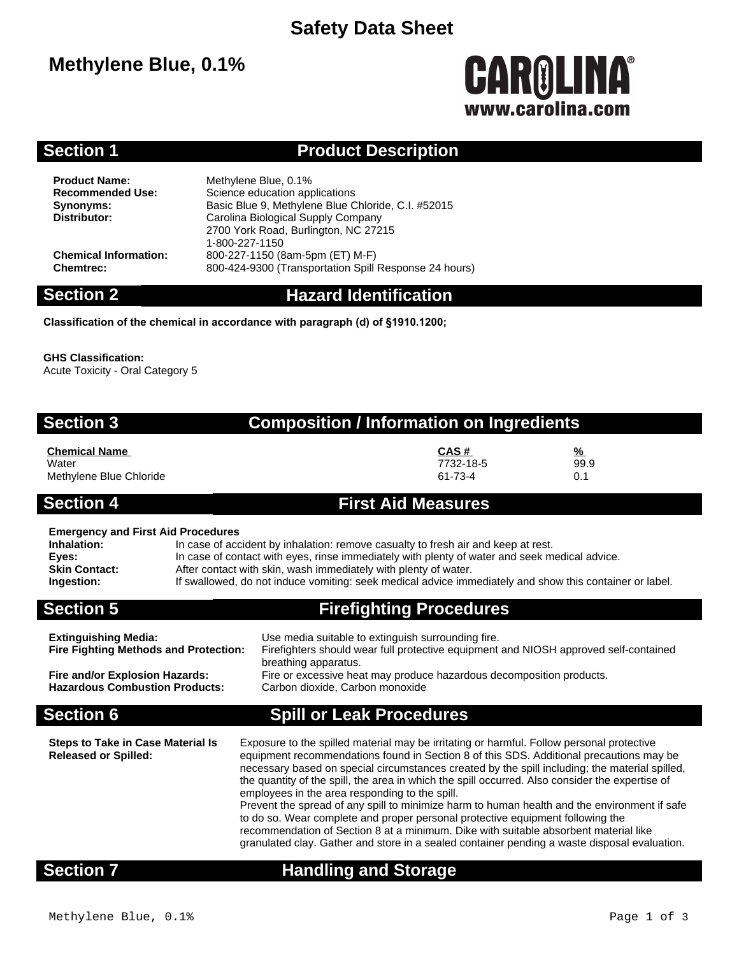## **Safety Data Sheet**

## **Methylene Blue, 0.1%**

# **CAROLINA®** www.carolina.com

## **Section 1 Product Description**

**Product Name:** Methylene Blue, 0.1%<br> **Recommended Use:** Science education app **Science education applications Synonyms:** Basic Blue 9, Methylene Blue Chloride, C.I. #52015<br>
Distributor: Carolina Biological Supply Company **Distributor:** Carolina Biological Supply Company 2700 York Road, Burlington, NC 27215 1-800-227-1150 **Chemical Information:** 800-227-1150 (8am-5pm (ET) M-F) **Chemtrec:** 800-424-9300 (Transportation Spill Response 24 hours)

## **Section 2 Hazard Identification**

**Classification of the chemical in accordance with paragraph (d) of §1910.1200;**

### **GHS Classification:**

Acute Toxicity - Oral Category 5

## **Section 3 Composition / Information on Ingredients**

### **Chemical Name CAS # %** Water 7732-18-5 99.9 Methylene Blue Chloride 61-73-4 0.1

### **Section 4 First Aid Measures**

### **Emergency and First Aid Procedures**

| Inhalation:          | In case of accident by inhalation: remove casualty to fresh air and keep at rest.                       |
|----------------------|---------------------------------------------------------------------------------------------------------|
| Eyes:                | In case of contact with eyes, rinse immediately with plenty of water and seek medical advice.           |
| <b>Skin Contact:</b> | After contact with skin, wash immediately with plenty of water.                                         |
| Ingestion:           | If swallowed, do not induce vomiting: seek medical advice immediately and show this container or label. |

## **Section 5 Firefighting Procedures**

| <b>Section 6</b>                                                        | <b>Spill or Leak Procedures</b>                                                                         |
|-------------------------------------------------------------------------|---------------------------------------------------------------------------------------------------------|
| Fire and/or Explosion Hazards:<br><b>Hazardous Combustion Products:</b> | Fire or excessive heat may produce hazardous decomposition products.<br>Carbon dioxide, Carbon monoxide |
|                                                                         | breathing apparatus.                                                                                    |
| <b>Fire Fighting Methods and Protection:</b>                            | Firefighters should wear full protective equipment and NIOSH approved self-contained                    |
| <b>Extinguishing Media:</b>                                             | Use media suitable to extinguish surrounding fire.                                                      |

| <b>Steps to Take in Case Material Is</b> | Exposure to the spilled material may be irritating or harmful. Follow personal protective                                                                                                 |
|------------------------------------------|-------------------------------------------------------------------------------------------------------------------------------------------------------------------------------------------|
| <b>Released or Spilled:</b>              | equipment recommendations found in Section 8 of this SDS. Additional precautions may be<br>necessary based on special circumstances created by the spill including; the material spilled, |
|                                          | the quantity of the spill, the area in which the spill occurred. Also consider the expertise of<br>employees in the area responding to the spill.                                         |
|                                          | Prevent the spread of any spill to minimize harm to human health and the environment if safe                                                                                              |
|                                          | to do so. Wear complete and proper personal protective equipment following the                                                                                                            |
|                                          | recommendation of Section 8 at a minimum. Dike with suitable absorbent material like                                                                                                      |
|                                          | granulated clay. Gather and store in a sealed container pending a waste disposal evaluation.                                                                                              |

## **Section 7 Handling and Storage**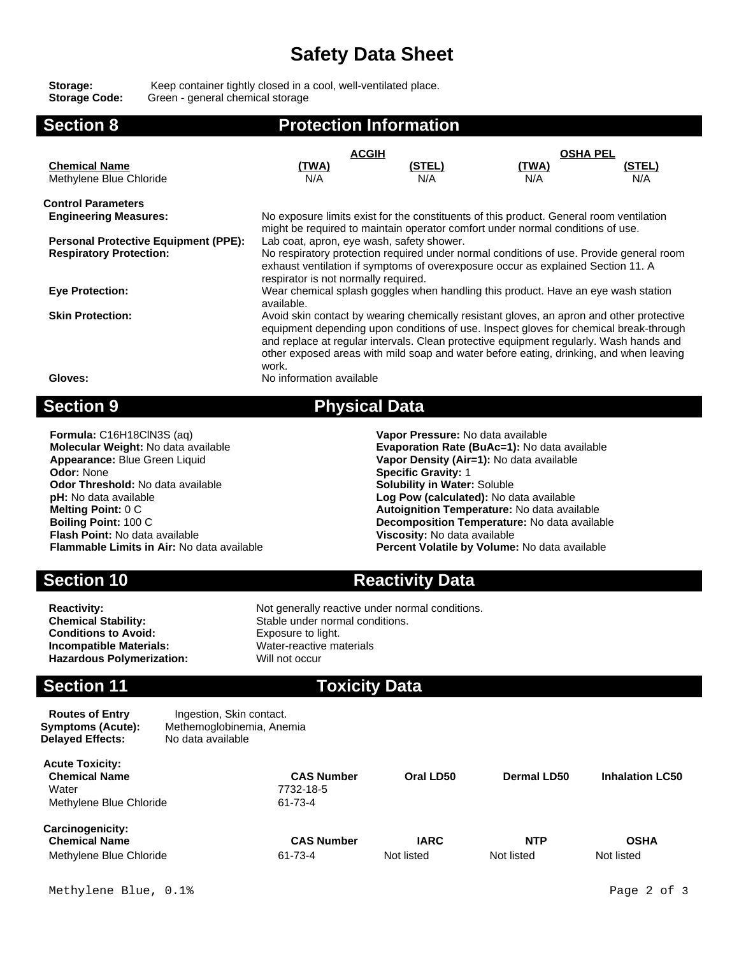## **Safety Data Sheet**

Storage: Keep container tightly closed in a cool, well-ventilated place. **Storage Code:** Green - general chemical storage

| <b>Section 8</b>                                                                                                    | <b>Protection Information</b>                                                           |               |              |                 |  |
|---------------------------------------------------------------------------------------------------------------------|-----------------------------------------------------------------------------------------|---------------|--------------|-----------------|--|
|                                                                                                                     | <b>ACGIH</b>                                                                            |               |              | <b>OSHA PEL</b> |  |
| <b>Chemical Name</b>                                                                                                | (TWA)                                                                                   | <u>(STEL)</u> | <u>(TWA)</u> | <u>(STEL)</u>   |  |
| Methylene Blue Chloride                                                                                             | N/A                                                                                     | N/A           | N/A          | N/A             |  |
| <b>Control Parameters</b>                                                                                           |                                                                                         |               |              |                 |  |
| <b>Engineering Measures:</b>                                                                                        | No exposure limits exist for the constituents of this product. General room ventilation |               |              |                 |  |
|                                                                                                                     | might be required to maintain operator comfort under normal conditions of use.          |               |              |                 |  |
| <b>Personal Protective Equipment (PPE):</b>                                                                         | Lab coat, apron, eye wash, safety shower.                                               |               |              |                 |  |
| <b>Respiratory Protection:</b>                                                                                      | No respiratory protection required under normal conditions of use. Provide general room |               |              |                 |  |
|                                                                                                                     | exhaust ventilation if symptoms of overexposure occur as explained Section 11. A        |               |              |                 |  |
|                                                                                                                     | respirator is not normally required.                                                    |               |              |                 |  |
| <b>Eye Protection:</b>                                                                                              | Wear chemical splash goggles when handling this product. Have an eye wash station       |               |              |                 |  |
|                                                                                                                     | available.                                                                              |               |              |                 |  |
| Avoid skin contact by wearing chemically resistant gloves, an apron and other protective<br><b>Skin Protection:</b> |                                                                                         |               |              |                 |  |
| equipment depending upon conditions of use. Inspect gloves for chemical break-through                               |                                                                                         |               |              |                 |  |
|                                                                                                                     | and replace at regular intervals. Clean protective equipment regularly. Wash hands and  |               |              |                 |  |
|                                                                                                                     | other exposed areas with mild soap and water before eating, drinking, and when leaving  |               |              |                 |  |
|                                                                                                                     | work.                                                                                   |               |              |                 |  |
| Gloves:                                                                                                             | No information available                                                                |               |              |                 |  |
|                                                                                                                     |                                                                                         |               |              |                 |  |

## **Section 9 Physical Data**

| Formula: C16H18ClN3S (aq)                         | Vapor Pressure: No data available             |
|---------------------------------------------------|-----------------------------------------------|
| Molecular Weight: No data available               | Evaporation Rate (BuAc=1): No data available  |
| Appearance: Blue Green Liquid                     | Vapor Density (Air=1): No data available      |
| <b>Odor: None</b>                                 | <b>Specific Gravity: 1</b>                    |
| <b>Odor Threshold:</b> No data available          | <b>Solubility in Water: Soluble</b>           |
| <b>pH:</b> No data available                      | Log Pow (calculated): No data available       |
| <b>Melting Point: 0 C</b>                         | Autoignition Temperature: No data available   |
| <b>Boiling Point: 100 C</b>                       | Decomposition Temperature: No data available  |
| <b>Flash Point: No data available</b>             | Viscosity: No data available                  |
| <b>Flammable Limits in Air: No data available</b> | Percent Volatile by Volume: No data available |
|                                                   |                                               |

**Section 10 <b>Reactivity Data** 

**Conditions to Avoid:** Exposure to light. **Incompatible Materials:** Water-reactive materials Hazardous Polymerization: Will not occur

**Reactivity:** Not generally reactive under normal conditions.<br> **Chemical Stability:** Stable under normal conditions. Stable under normal conditions.

## **Section 11 Toxicity Data**

**Routes of Entry Ingestion, Skin contact. Symptoms (Acute):** Methemoglobinemia, Anemia **Delayed Effects:** No data available

| <b>Acute Toxicity:</b><br><b>Chemical Name</b><br>Water<br>Methylene Blue Chloride | <b>CAS Number</b><br>7732-18-5<br>61-73-4 | Oral LD50                 | Dermal LD50              | <b>Inhalation LC50</b>    |
|------------------------------------------------------------------------------------|-------------------------------------------|---------------------------|--------------------------|---------------------------|
| <b>Carcinogenicity:</b><br><b>Chemical Name</b><br>Methylene Blue Chloride         | <b>CAS Number</b><br>61-73-4              | <b>IARC</b><br>Not listed | <b>NTP</b><br>Not listed | <b>OSHA</b><br>Not listed |